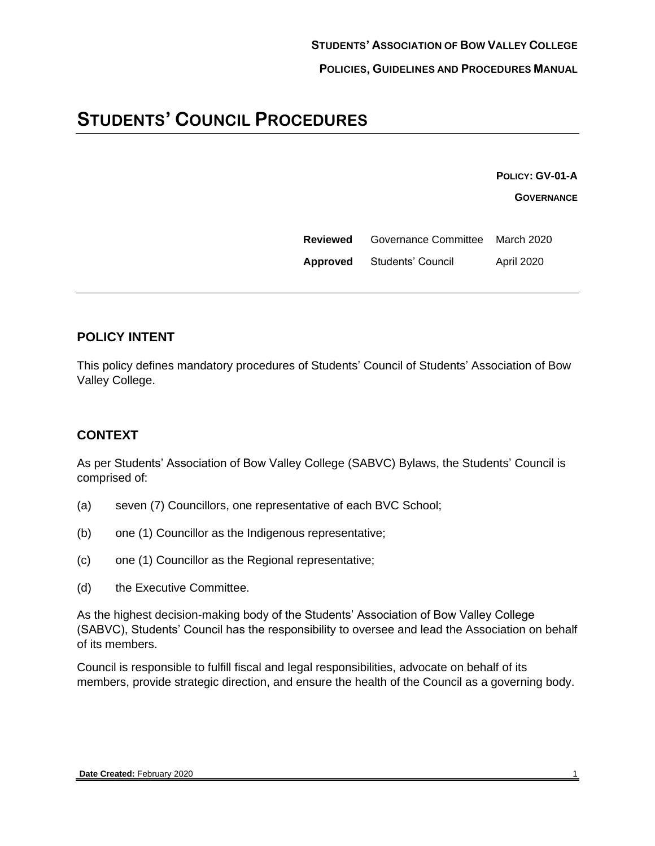# **STUDENTS' COUNCIL PROCEDURES**

**POLICY: GV-01-A**

**GOVERNANCE**

| Reviewed | Governance Committee March 2020 |                   |
|----------|---------------------------------|-------------------|
| Approved | Students' Council               | <b>April 2020</b> |

### **POLICY INTENT**

This policy defines mandatory procedures of Students' Council of Students' Association of Bow Valley College.

#### **CONTEXT**

As per Students' Association of Bow Valley College (SABVC) Bylaws, the Students' Council is comprised of:

- (a) seven (7) Councillors, one representative of each BVC School;
- (b) one (1) Councillor as the Indigenous representative;
- (c) one (1) Councillor as the Regional representative;
- (d) the Executive Committee.

As the highest decision-making body of the Students' Association of Bow Valley College (SABVC), Students' Council has the responsibility to oversee and lead the Association on behalf of its members.

Council is responsible to fulfill fiscal and legal responsibilities, advocate on behalf of its members, provide strategic direction, and ensure the health of the Council as a governing body.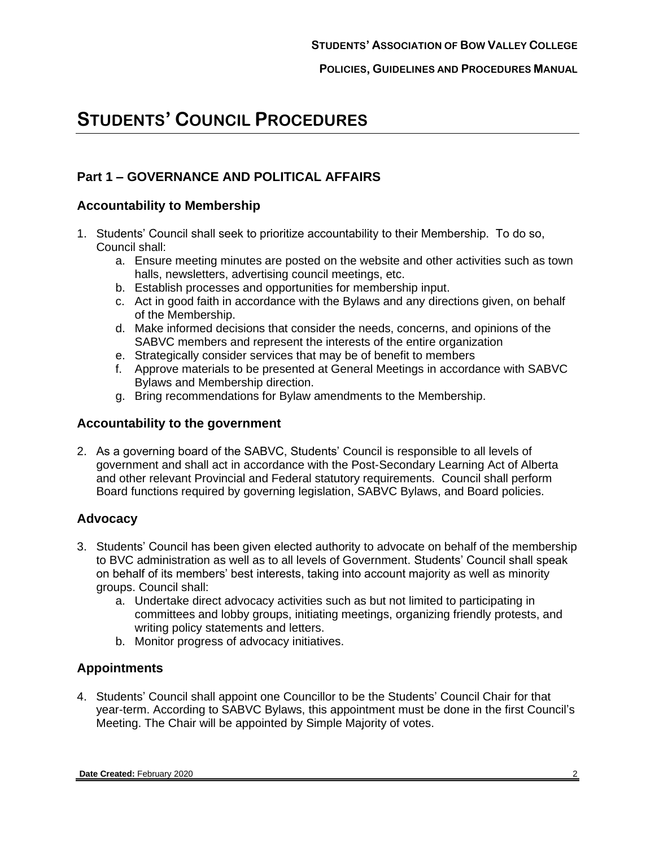# **STUDENTS' COUNCIL PROCEDURES**

### **Part 1 – GOVERNANCE AND POLITICAL AFFAIRS**

#### **Accountability to Membership**

- 1. Students' Council shall seek to prioritize accountability to their Membership. To do so, Council shall:
	- a. Ensure meeting minutes are posted on the website and other activities such as town halls, newsletters, advertising council meetings, etc.
	- b. Establish processes and opportunities for membership input.
	- c. Act in good faith in accordance with the Bylaws and any directions given, on behalf of the Membership.
	- d. Make informed decisions that consider the needs, concerns, and opinions of the SABVC members and represent the interests of the entire organization
	- e. Strategically consider services that may be of benefit to members
	- f. Approve materials to be presented at General Meetings in accordance with SABVC Bylaws and Membership direction.
	- g. Bring recommendations for Bylaw amendments to the Membership.

#### **Accountability to the government**

2. As a governing board of the SABVC, Students' Council is responsible to all levels of government and shall act in accordance with the Post-Secondary Learning Act of Alberta and other relevant Provincial and Federal statutory requirements. Council shall perform Board functions required by governing legislation, SABVC Bylaws, and Board policies.

#### **Advocacy**

- 3. Students' Council has been given elected authority to advocate on behalf of the membership to BVC administration as well as to all levels of Government. Students' Council shall speak on behalf of its members' best interests, taking into account majority as well as minority groups. Council shall:
	- a. Undertake direct advocacy activities such as but not limited to participating in committees and lobby groups, initiating meetings, organizing friendly protests, and writing policy statements and letters.
	- b. Monitor progress of advocacy initiatives.

#### **Appointments**

4. Students' Council shall appoint one Councillor to be the Students' Council Chair for that year-term. According to SABVC Bylaws, this appointment must be done in the first Council's Meeting. The Chair will be appointed by Simple Majority of votes.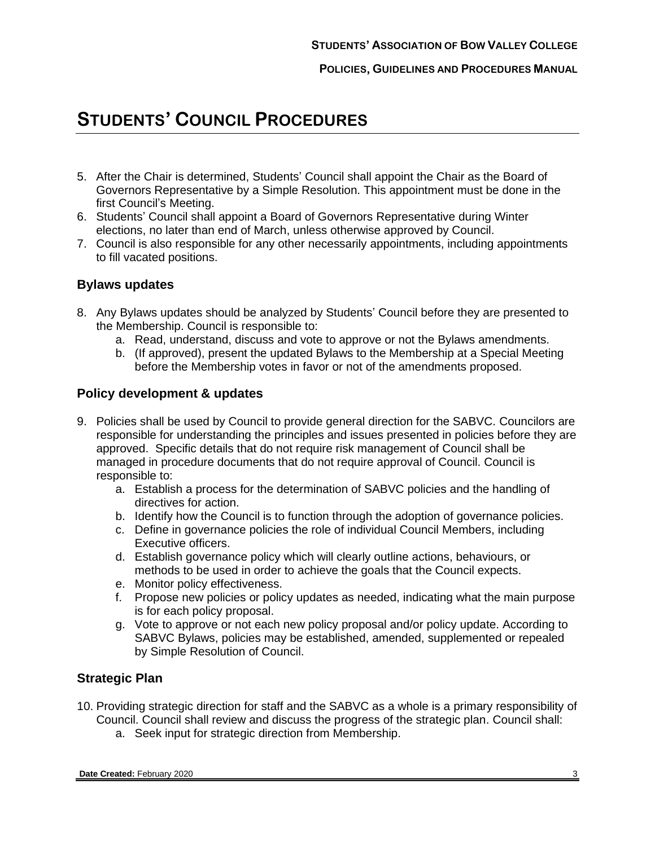**POLICIES, GUIDELINES AND PROCEDURES MANUAL**

# **STUDENTS' COUNCIL PROCEDURES**

- 5. After the Chair is determined, Students' Council shall appoint the Chair as the Board of Governors Representative by a Simple Resolution. This appointment must be done in the first Council's Meeting.
- 6. Students' Council shall appoint a Board of Governors Representative during Winter elections, no later than end of March, unless otherwise approved by Council.
- 7. Council is also responsible for any other necessarily appointments, including appointments to fill vacated positions.

#### **Bylaws updates**

- 8. Any Bylaws updates should be analyzed by Students' Council before they are presented to the Membership. Council is responsible to:
	- a. Read, understand, discuss and vote to approve or not the Bylaws amendments.
	- b. (If approved), present the updated Bylaws to the Membership at a Special Meeting before the Membership votes in favor or not of the amendments proposed.

#### **Policy development & updates**

- 9. Policies shall be used by Council to provide general direction for the SABVC. Councilors are responsible for understanding the principles and issues presented in policies before they are approved. Specific details that do not require risk management of Council shall be managed in procedure documents that do not require approval of Council. Council is responsible to:
	- a. Establish a process for the determination of SABVC policies and the handling of directives for action.
	- b. Identify how the Council is to function through the adoption of governance policies.
	- c. Define in governance policies the role of individual Council Members, including Executive officers.
	- d. Establish governance policy which will clearly outline actions, behaviours, or methods to be used in order to achieve the goals that the Council expects.
	- e. Monitor policy effectiveness.
	- f. Propose new policies or policy updates as needed, indicating what the main purpose is for each policy proposal.
	- g. Vote to approve or not each new policy proposal and/or policy update. According to SABVC Bylaws, policies may be established, amended, supplemented or repealed by Simple Resolution of Council.

#### **Strategic Plan**

- 10. Providing strategic direction for staff and the SABVC as a whole is a primary responsibility of Council. Council shall review and discuss the progress of the strategic plan. Council shall:
	- a. Seek input for strategic direction from Membership.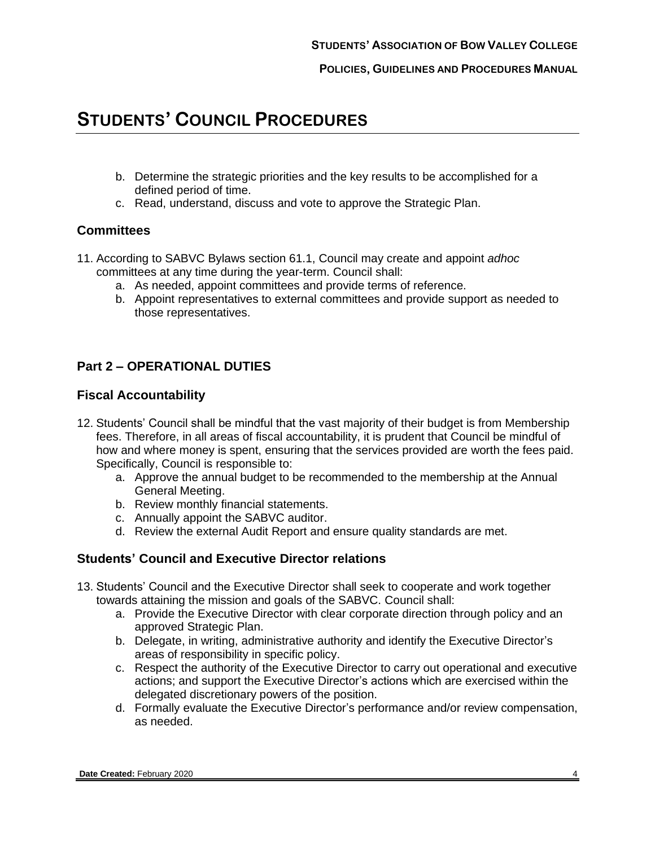**POLICIES, GUIDELINES AND PROCEDURES MANUAL**

## **STUDENTS' COUNCIL PROCEDURES**

- b. Determine the strategic priorities and the key results to be accomplished for a defined period of time.
- c. Read, understand, discuss and vote to approve the Strategic Plan.

#### **Committees**

- 11. According to SABVC Bylaws section 61.1, Council may create and appoint *adhoc* committees at any time during the year-term. Council shall:
	- a. As needed, appoint committees and provide terms of reference.
	- b. Appoint representatives to external committees and provide support as needed to those representatives.

### **Part 2 – OPERATIONAL DUTIES**

#### **Fiscal Accountability**

- 12. Students' Council shall be mindful that the vast majority of their budget is from Membership fees. Therefore, in all areas of fiscal accountability, it is prudent that Council be mindful of how and where money is spent, ensuring that the services provided are worth the fees paid. Specifically, Council is responsible to:
	- a. Approve the annual budget to be recommended to the membership at the Annual General Meeting.
	- b. Review monthly financial statements.
	- c. Annually appoint the SABVC auditor.
	- d. Review the external Audit Report and ensure quality standards are met.

#### **Students' Council and Executive Director relations**

- 13. Students' Council and the Executive Director shall seek to cooperate and work together towards attaining the mission and goals of the SABVC. Council shall:
	- a. Provide the Executive Director with clear corporate direction through policy and an approved Strategic Plan.
	- b. Delegate, in writing, administrative authority and identify the Executive Director's areas of responsibility in specific policy.
	- c. Respect the authority of the Executive Director to carry out operational and executive actions; and support the Executive Director's actions which are exercised within the delegated discretionary powers of the position.
	- d. Formally evaluate the Executive Director's performance and/or review compensation, as needed.